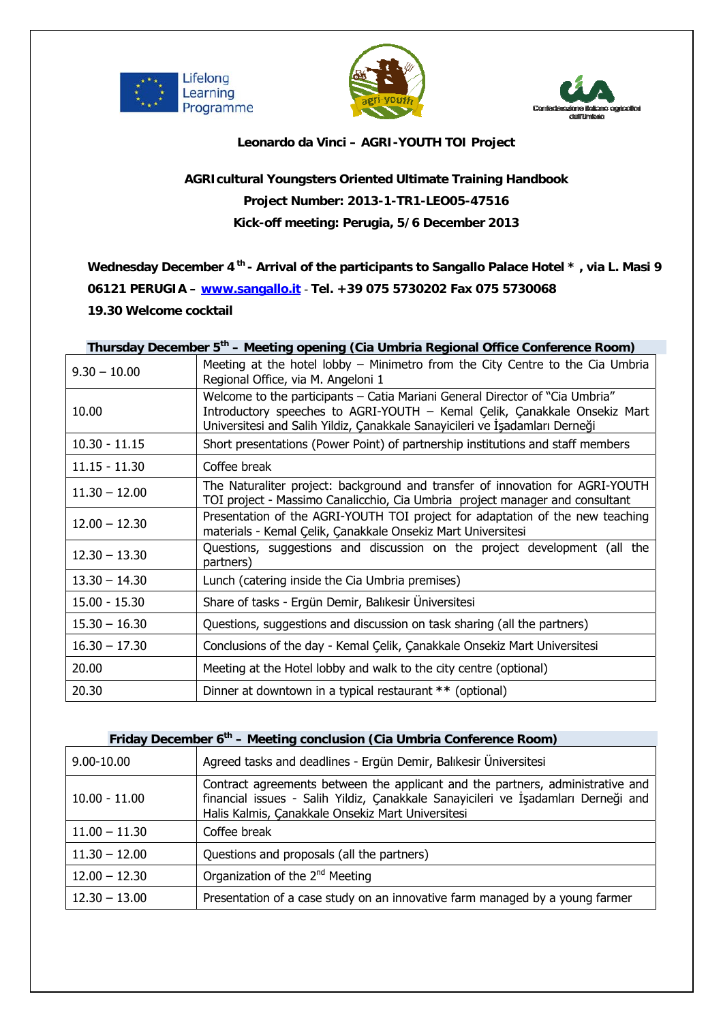





## **Leonardo da Vinci – AGRI-YOUTH TOI Project**

## **AGRIcultural Youngsters Oriented Ultimate Training Handbook Project Number: 2013-1-TR1-LEO05-47516 Kick-off meeting: Perugia, 5/6 December 2013**

Wednesday December 4<sup>th</sup> - Arrival of the participants to Sangallo Palace Hotel \*, via L. Masi 9 **06121 PERUGIA – www.sangallo.it** - **Tel. +39 075 5730202 Fax 075 5730068** 

## **19.30 Welcome cocktail**

| Thursday December 5 <sup>th</sup> – Meeting opening (Cia Umbria Regional Office Conference Room) |                                                                                                                                                                                                                                          |
|--------------------------------------------------------------------------------------------------|------------------------------------------------------------------------------------------------------------------------------------------------------------------------------------------------------------------------------------------|
| $9.30 - 10.00$                                                                                   | Meeting at the hotel lobby - Minimetro from the City Centre to the Cia Umbria<br>Regional Office, via M. Angeloni 1                                                                                                                      |
| 10.00                                                                                            | Welcome to the participants - Catia Mariani General Director of "Cia Umbria"<br>Introductory speeches to AGRI-YOUTH - Kemal Çelik, Çanakkale Onsekiz Mart<br>Universitesi and Salih Yildiz, Çanakkale Sanayicileri ve İşadamları Derneği |
| $10.30 - 11.15$                                                                                  | Short presentations (Power Point) of partnership institutions and staff members                                                                                                                                                          |
| $11.15 - 11.30$                                                                                  | Coffee break                                                                                                                                                                                                                             |
| $11.30 - 12.00$                                                                                  | The Naturaliter project: background and transfer of innovation for AGRI-YOUTH<br>TOI project - Massimo Canalicchio, Cia Umbria project manager and consultant                                                                            |
| $12.00 - 12.30$                                                                                  | Presentation of the AGRI-YOUTH TOI project for adaptation of the new teaching<br>materials - Kemal Çelik, Çanakkale Onsekiz Mart Universitesi                                                                                            |
| $12.30 - 13.30$                                                                                  | Questions, suggestions and discussion on the project development (all the<br>partners)                                                                                                                                                   |
| $13.30 - 14.30$                                                                                  | Lunch (catering inside the Cia Umbria premises)                                                                                                                                                                                          |
| $15.00 - 15.30$                                                                                  | Share of tasks - Ergün Demir, Balıkesir Üniversitesi                                                                                                                                                                                     |
| $15.30 - 16.30$                                                                                  | Questions, suggestions and discussion on task sharing (all the partners)                                                                                                                                                                 |
| $16.30 - 17.30$                                                                                  | Conclusions of the day - Kemal Çelik, Çanakkale Onsekiz Mart Universitesi                                                                                                                                                                |
| 20.00                                                                                            | Meeting at the Hotel lobby and walk to the city centre (optional)                                                                                                                                                                        |
| 20.30                                                                                            | Dinner at downtown in a typical restaurant ** (optional)                                                                                                                                                                                 |

## Friday December 6<sup>th</sup> – Meeting conclusion (Cia Umbria Conference Room)

| $9.00 - 10.00$  | Agreed tasks and deadlines - Ergün Demir, Balıkesir Üniversitesi                                                                                                                                                         |
|-----------------|--------------------------------------------------------------------------------------------------------------------------------------------------------------------------------------------------------------------------|
| $10.00 - 11.00$ | Contract agreements between the applicant and the partners, administrative and<br>financial issues - Salih Yildiz, Çanakkale Sanayicileri ve İşadamları Derneği and<br>Halis Kalmis, Çanakkale Onsekiz Mart Universitesi |
| $11.00 - 11.30$ | Coffee break                                                                                                                                                                                                             |
| $11.30 - 12.00$ | Questions and proposals (all the partners)                                                                                                                                                                               |
| $12.00 - 12.30$ | Organization of the 2 <sup>nd</sup> Meeting                                                                                                                                                                              |
| $12.30 - 13.00$ | Presentation of a case study on an innovative farm managed by a young farmer                                                                                                                                             |